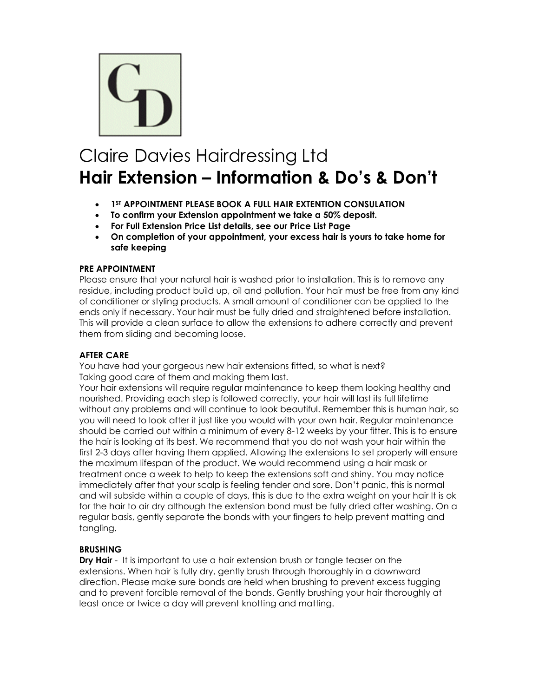

# Claire Davies Hairdressing Ltd **Hair Extension – Information & Do's & Don't**

- **1ST APPOINTMENT PLEASE BOOK A FULL HAIR EXTENTION CONSULATION**
- **To confirm your Extension appointment we take a 50% deposit.**
- **For Full Extension Price List details, see our Price List Page**
- **On completion of your appointment, your excess hair is yours to take home for safe keeping**

## **PRE APPOINTMENT**

Please ensure that your natural hair is washed prior to installation. This is to remove any residue, including product build up, oil and pollution. Your hair must be free from any kind of conditioner or styling products. A small amount of conditioner can be applied to the ends only if necessary. Your hair must be fully dried and straightened before installation. This will provide a clean surface to allow the extensions to adhere correctly and prevent them from sliding and becoming loose.

# **AFTER CARE**

You have had your gorgeous new hair extensions fitted, so what is next? Taking good care of them and making them last.

Your hair extensions will require regular maintenance to keep them looking healthy and nourished. Providing each step is followed correctly, your hair will last its full lifetime without any problems and will continue to look beautiful. Remember this is human hair, so you will need to look after it just like you would with your own hair. Regular maintenance should be carried out within a minimum of every 8-12 weeks by your fitter. This is to ensure the hair is looking at its best. We recommend that you do not wash your hair within the first 2-3 days after having them applied. Allowing the extensions to set properly will ensure the maximum lifespan of the product. We would recommend using a hair mask or treatment once a week to help to keep the extensions soft and shiny. You may notice immediately after that your scalp is feeling tender and sore. Don't panic, this is normal and will subside within a couple of days, this is due to the extra weight on your hair It is ok for the hair to air dry although the extension bond must be fully dried after washing. On a regular basis, gently separate the bonds with your fingers to help prevent matting and tangling.

## **BRUSHING**

**Dry Hair** - It is important to use a hair extension brush or tangle teaser on the extensions. When hair is fully dry, gently brush through thoroughly in a downward direction. Please make sure bonds are held when brushing to prevent excess tugging and to prevent forcible removal of the bonds. Gently brushing your hair thoroughly at least once or twice a day will prevent knotting and matting.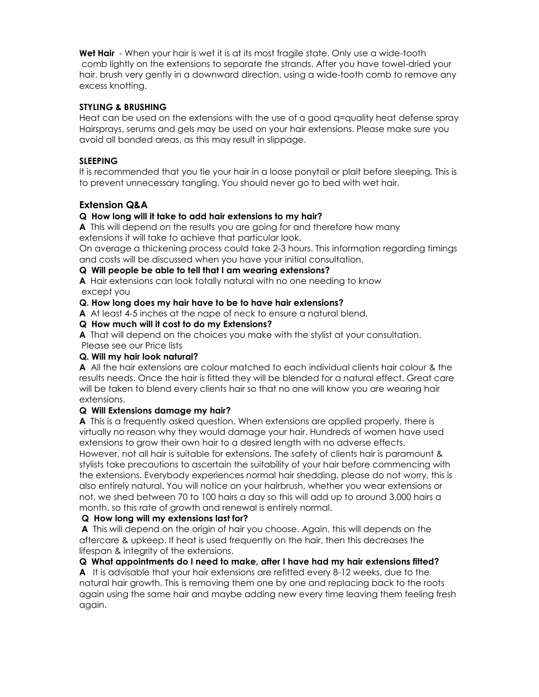**Wet Hair** - When your hair is wet it is at its most fragile state. Only use a wide-tooth comb lightly on the extensions to separate the strands. After you have towel-dried your hair, brush very gently in a downward direction, using a wide-tooth comb to remove any excess knotting.

#### **STYLING & BRUSHING**

Heat can be used on the extensions with the use of a good q=quality heat defense spray Hairsprays, serums and gels may be used on your hair extensions. Please make sure you avoid all bonded areas, as this may result in slippage.

#### **SLEEPING**

It is recommended that you tie your hair in a loose ponytail or plait before sleeping. This is to prevent unnecessary tangling. You should never go to bed with wet hair.

# **Extension Q&A**

## **Q How long will it take to add hair extensions to my hair?**

**A** This will depend on the results you are going for and therefore how many extensions it will take to achieve that particular look.

On average a thickening process could take 2-3 hours. This information regarding timings and costs will be discussed when you have your initial consultation.

#### **Q Will people be able to tell that I am wearing extensions?**

**A** Hair extensions can look totally natural with no one needing to know except you

#### **Q. How long does my hair have to be to have hair extensions?**

**A** At least 4-5 inches at the nape of neck to ensure a natural blend.

**Q How much will it cost to do my Extensions?**

**A** That will depend on the choices you make with the stylist at your consultation.

#### Please see our Price lists

#### **Q. Will my hair look natural?**

**A** All the hair extensions are colour matched to each individual clients hair colour & the results needs. Once the hair is fitted they will be blended for a natural effect. Great care will be taken to blend every clients hair so that no one will know you are wearing hair extensions.

#### **Q Will Extensions damage my hair?**

**A** This is a frequently asked question. When extensions are applied properly, there is virtually no reason why they would damage your hair. Hundreds of women have used extensions to grow their own hair to a desired length with no adverse effects. However, not all hair is suitable for extensions. The safety of clients hair is paramount & stylists take precautions to ascertain the suitability of your hair before commencing with the extensions. Everybody experiences normal hair shedding, please do not worry, this is also entirely natural. You will notice on your hairbrush, whether you wear extensions or not, we shed between 70 to 100 hairs a day so this will add up to around 3,000 hairs a month, so this rate of growth and renewal is entirely normal.

## **Q How long will my extensions last for?**

**A** This will depend on the origin of hair you choose. Again, this will depends on the aftercare & upkeep. If heat is used frequently on the hair, then this decreases the lifespan & integrity of the extensions.

**Q What appointments do I need to make, after I have had my hair extensions fitted?**

**A** It is advisable that your hair extensions are refitted every 8-12 weeks, due to the natural hair growth. This is removing them one by one and replacing back to the roots again using the same hair and maybe adding new every time leaving them feeling fresh again.